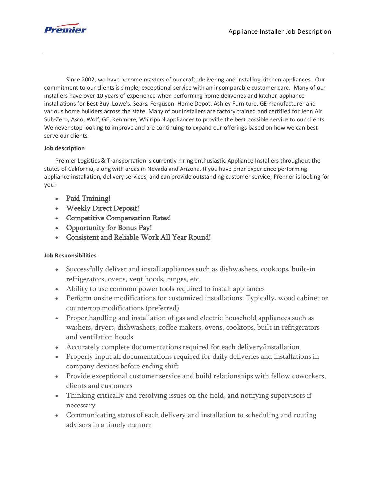

Since 2002, we have become masters of our craft, delivering and installing kitchen appliances. Our commitment to our clients is simple, exceptional service with an incomparable customer care. Many of our installers have over 10 years of experience when performing home deliveries and kitchen appliance installations for Best Buy, Lowe's, Sears, Ferguson, Home Depot, Ashley Furniture, GE manufacturer and various home builders across the state. Many of our installers are factory trained and certified for Jenn Air, Sub-Zero, Asco, Wolf, GE, Kenmore, Whirlpool appliances to provide the best possible service to our clients. We never stop looking to improve and are continuing to expand our offerings based on how we can best serve our clients.

## **Job description**

Premier Logistics & Transportation is currently hiring enthusiastic Appliance Installers throughout the states of California, along with areas in Nevada and Arizona. If you have prior experience performing appliance installation, delivery services, and can provide outstanding customer service; Premier is looking for you!

- Paid Training!
- Weekly Direct Deposit!
- Competitive Compensation Rates!
- Opportunity for Bonus Pay!
- Consistent and Reliable Work All Year Round!

## **Job Responsibilities**

- Successfully deliver and install appliances such as dishwashers, cooktops, built-in refrigerators, ovens, vent hoods, ranges, etc.
- Ability to use common power tools required to install appliances
- Perform onsite modifications for customized installations. Typically, wood cabinet or countertop modifications (preferred)
- Proper handling and installation of gas and electric household appliances such as washers, dryers, dishwashers, coffee makers, ovens, cooktops, built in refrigerators and ventilation hoods
- Accurately complete documentations required for each delivery/installation
- Properly input all documentations required for daily deliveries and installations in company devices before ending shift
- Provide exceptional customer service and build relationships with fellow coworkers, clients and customers
- Thinking critically and resolving issues on the field, and notifying supervisors if necessary
- Communicating status of each delivery and installation to scheduling and routing advisors in a timely manner